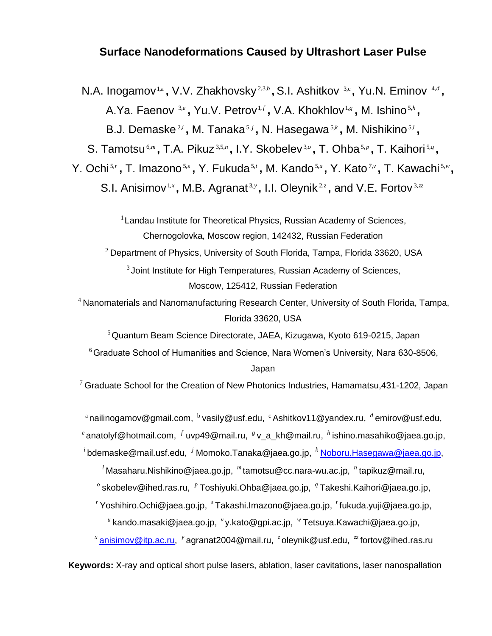# **Surface Nanodeformations Caused by Ultrashort Laser Pulse**

N.A. Inogamov<sup>1,a</sup>, V.V. Zhakhovsky<sup>2,3,b</sup>, S.I. Ashitkov <sup>3,c</sup>, Yu.N. Eminov <sup>4,d</sup>, A.Ya. Faenov 3,e, Yu.V. Petrov<sup>1,f</sup>, V.A. Khokhlov<sup>1,g</sup>, M. Ishino<sup>5,h</sup>,

B.J. Demaske<sup>2,*i*</sup>, M. Tanaka<sup>5,*i*</sup>, N. Hasegawa<sup>5,*k*</sup>, M. Nishikino<sup>5,*l*</sup>,

S. Tamotsu<sup>6,m</sup>, T.A. Pikuz<sup>3,5,n</sup>, I.Y. Skobelev<sup>3,0</sup>, T. Ohba<sup>5,p</sup>, T. Kaihori<sup>5,q</sup>,

Y. Ochi<sup>s,</sup> , T. Imazono<sup>s,</sup> , Y. Fukuda<sup>s,</sup> , M. Kando<sup>s,</sup> , Y. Kato<sup>7</sup>, T. Kawachi<sup>s,</sup> ,

S.I. Anisimov<sup>1,x</sup>, M.B. Agranat<sup>3,y</sup>, I.I. Oleynik<sup>2,z</sup>, and V.E. Fortov<sup>3,zz</sup>

<sup>1</sup> Landau Institute for Theoretical Physics, Russian Academy of Sciences, Chernogolovka, Moscow region, 142432, Russian Federation

 $2$  Department of Physics, University of South Florida, Tampa, Florida 33620, USA

 $3$ Joint Institute for High Temperatures, Russian Academy of Sciences, Moscow, 125412, Russian Federation

<sup>4</sup> Nanomaterials and Nanomanufacturing Research Center, University of South Florida, Tampa, Florida 33620, USA

<sup>5</sup> Quantum Beam Science Directorate, JAEA, Kizugawa, Kyoto 619-0215, Japan

 $6$  Graduate School of Humanities and Science, Nara Women's University, Nara 630-8506, Japan

 $^7$  Graduate School for the Creation of New Photonics Industries, Hamamatsu,431-1202, Japan

<sup>a</sup>nailinogamov@gmail.com, <sup>b</sup> vasily@usf.edu, <sup>c</sup> Ashitkov11@yandex.ru, <sup>*d*</sup>emirov@usf.edu,  $^e$ anatolyf@hotmail.com,  $^f$  uvp49@mail.ru,  $^s$  v\_a\_kh@mail.ru,  $^h$  ishino.masahiko@jaea.go.jp, <sup>*i*</sup> bdemaske@mail.usf.edu, <sup>j</sup> Momoko.Tanaka@jaea.go.jp, <sup>*k*</sup> <u>[Noboru.Hasegawa@jaea.go.jp,](mailto:Noboru.Hasegawa@jaea.go.jp)</u>

*l* Masaharu.Nishikino@jaea.go.jp, *m* tamotsu@cc.nara-wu.ac.jp, *n* tapikuz@mail.ru,

*o* skobelev@ihed.ras.ru, *p* Toshiyuki.Ohba@jaea.go.jp, *q* Takeshi.Kaihori@jaea.go.jp,

<sup>r</sup>Yoshihiro.Ochi@jaea.go.jp, <sup>。</sup>Takashi.Imazono@jaea.go.jp, <sup>*t*</sup> fukuda.yuji@jaea.go.jp,

<sup>"</sup> kando.masaki@jaea.go.jp, <sup>,</sup>y.kato@gpi.ac.jp, <sup>w</sup> Tetsuya.Kawachi@jaea.go.jp,

*x* [anisimov@itp.ac.ru,](mailto:anisimov@itp.ac.ru) *y* agranat2004@mail.ru, *z* oleynik@usf.edu, *zz* fortov@ihed.ras.ru

**Keywords:** X-ray and optical short pulse lasers, ablation, laser cavitations, laser nanospallation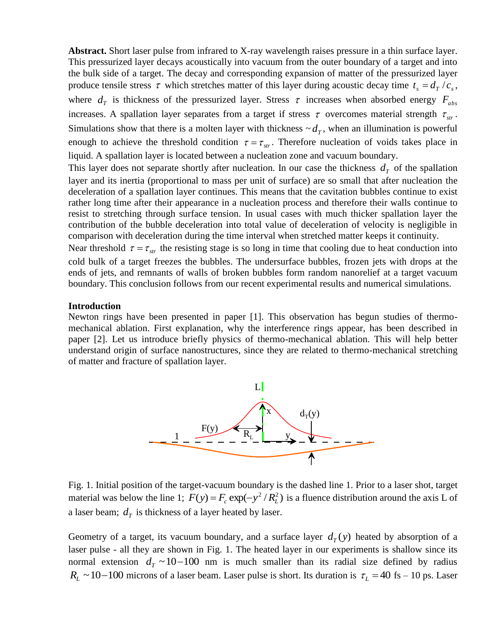**Abstract.** Short laser pulse from infrared to X-ray wavelength raises pressure in a thin surface layer. This pressurized layer decays acoustically into vacuum from the outer boundary of a target and into the bulk side of a target. The decay and corresponding expansion of matter of the pressurized layer produce tensile stress  $\tau$  which stretches matter of this layer during acoustic decay time  $t_s = d_T / c_s$ , where  $d_T$  is thickness of the pressurized layer. Stress  $\tau$  increases when absorbed energy  $F_{abs}$ increases. A spallation layer separates from a target if stress  $\tau$  overcomes material strength  $\tau_{str}$ . Simulations show that there is a molten layer with thickness  $\sim d_T$ , when an illumination is powerful enough to achieve the threshold condition  $\tau = \tau_{str}$ . Therefore nucleation of voids takes place in liquid. A spallation layer is located between a nucleation zone and vacuum boundary.

This layer does not separate shortly after nucleation. In our case the thickness  $d<sub>T</sub>$  of the spallation layer and its inertia (proportional to mass per unit of surface) are so small that after nucleation the deceleration of a spallation layer continues. This means that the cavitation bubbles continue to exist rather long time after their appearance in a nucleation process and therefore their walls continue to resist to stretching through surface tension. In usual cases with much thicker spallation layer the contribution of the bubble deceleration into total value of deceleration of velocity is negligible in comparison with deceleration during the time interval when stretched matter keeps it continuity.

Near threshold  $\tau = \tau_{str}$  the resisting stage is so long in time that cooling due to heat conduction into cold bulk of a target freezes the bubbles. The undersurface bubbles, frozen jets with drops at the ends of jets, and remnants of walls of broken bubbles form random nanorelief at a target vacuum boundary. This conclusion follows from our recent experimental results and numerical simulations.

#### **Introduction**

Newton rings have been presented in paper [1]. This observation has begun studies of thermomechanical ablation. First explanation, why the interference rings appear, has been described in paper [2]. Let us introduce briefly physics of thermo-mechanical ablation. This will help better understand origin of surface nanostructures, since they are related to thermo-mechanical stretching of matter and fracture of spallation layer.



Fig. 1. Initial position of the target-vacuum boundary is the dashed line 1. Prior to a laser shot, target material was below the line 1;  $F(y) = F_c \exp(-y^2/R_L^2)$  is a fluence distribution around the axis L of a laser beam;  $d<sub>T</sub>$  is thickness of a layer heated by laser.

Geometry of a target, its vacuum boundary, and a surface layer  $d<sub>T</sub>(y)$  heated by absorption of a laser pulse - all they are shown in Fig. 1. The heated layer in our experiments is shallow since its normal extension  $d_T \sim 10-100$  nm is much smaller than its radial size defined by radius  $R_L \sim 10-100$  microns of a laser beam. Laser pulse is short. Its duration is  $\tau_L = 40$  fs – 10 ps. Laser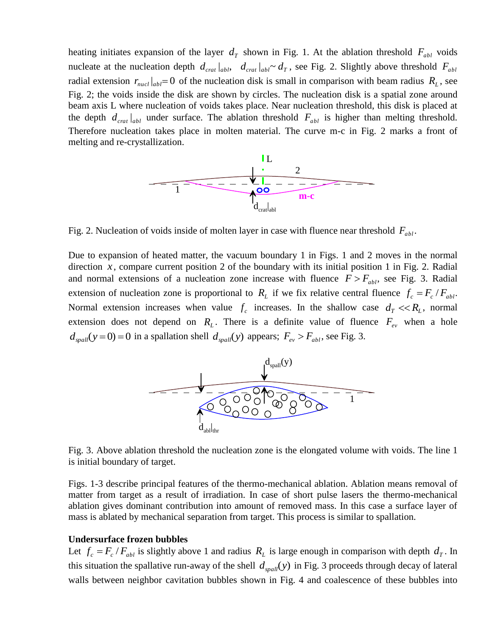heating initiates expansion of the layer  $d<sub>T</sub>$  shown in Fig. 1. At the ablation threshold  $F<sub>abl</sub>$  voids nucleate at the nucleation depth  $d_{\text{crat}}|_{abl}$ ,  $d_{\text{crat}}|_{abl} \sim d_T$ , see Fig. 2. Slightly above threshold  $F_{abl}$ radial extension  $r_{\textit{nucl}}|_{abl} = 0$  of the nucleation disk is small in comparison with beam radius  $R_L$ , see Fig. 2; the voids inside the disk are shown by circles. The nucleation disk is a spatial zone around beam axis L where nucleation of voids takes place. Near nucleation threshold, this disk is placed at the depth  $d_{\text{crat}}|_{ab}$  under surface. The ablation threshold  $F_{ab}$  is higher than melting threshold. Therefore nucleation takes place in molten material. The curve m-c in Fig. 2 marks a front of melting and re-crystallization.



Fig. 2. Nucleation of voids inside of molten layer in case with fluence near threshold  $F_{abl}$ .

Due to expansion of heated matter, the vacuum boundary 1 in Figs. 1 and 2 moves in the normal direction  $x$ , compare current position 2 of the boundary with its initial position 1 in Fig. 2. Radial and normal extensions of a nucleation zone increase with fluence  $F > F_{abl}$ , see Fig. 3. Radial extension of nucleation zone is proportional to  $R<sub>L</sub>$  if we fix relative central fluence  $f<sub>c</sub> = F<sub>c</sub> / F<sub>abl</sub>$ . Normal extension increases when value  $f_c$  increases. In the shallow case  $d_T \ll R_L$ , normal extension does not depend on  $R_L$ . There is a definite value of fluence  $F_{ev}$  when a hole  $d_{\text{spall}}(y=0) = 0$  in a spallation shell  $d_{\text{spall}}(y)$  appears;  $F_{ev} > F_{abl}$ , see Fig. 3.



Fig. 3. Above ablation threshold the nucleation zone is the elongated volume with voids. The line 1 is initial boundary of target.

Figs. 1-3 describe principal features of the thermo-mechanical ablation. Ablation means removal of matter from target as a result of irradiation. In case of short pulse lasers the thermo-mechanical ablation gives dominant contribution into amount of removed mass. In this case a surface layer of mass is ablated by mechanical separation from target. This process is similar to spallation.

#### **Undersurface frozen bubbles**

Let  $f_c = F_c / F_{abl}$  is slightly above 1 and radius  $R_L$  is large enough in comparison with depth  $d_T$ . In this situation the spallative run-away of the shell  $d_{\text{spall}}(y)$  in Fig. 3 proceeds through decay of lateral walls between neighbor cavitation bubbles shown in Fig. 4 and coalescence of these bubbles into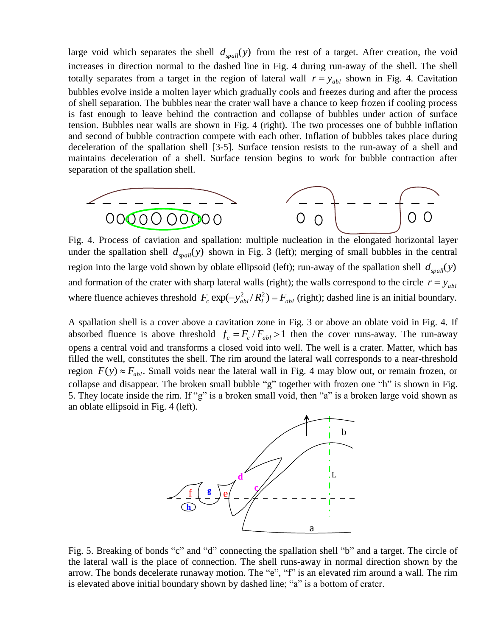large void which separates the shell  $d_{spall}(y)$  from the rest of a target. After creation, the void increases in direction normal to the dashed line in Fig. 4 during run-away of the shell. The shell totally separates from a target in the region of lateral wall  $r = y_{abl}$  shown in Fig. 4. Cavitation bubbles evolve inside a molten layer which gradually cools and freezes during and after the process of shell separation. The bubbles near the crater wall have a chance to keep frozen if cooling process is fast enough to leave behind the contraction and collapse of bubbles under action of surface tension. Bubbles near walls are shown in Fig. 4 (right). The two processes one of bubble inflation and second of bubble contraction compete with each other. Inflation of bubbles takes place during deceleration of the spallation shell [3-5]. Surface tension resists to the run-away of a shell and maintains deceleration of a shell. Surface tension begins to work for bubble contraction after separation of the spallation shell.



Fig. 4. Process of caviation and spallation: multiple nucleation in the elongated horizontal layer under the spallation shell  $d_{spall}(y)$  shown in Fig. 3 (left); merging of small bubbles in the central region into the large void shown by oblate ellipsoid (left); run-away of the spallation shell  $d_{spall}(y)$ and formation of the crater with sharp lateral walls (right); the walls correspond to the circle  $r = y_{ab}$ where fluence achieves threshold  $F_c \exp(-y_{abl}^2/R_L^2) = F_{abl}$  (right); dashed line is an initial boundary.

A spallation shell is a cover above a cavitation zone in Fig. 3 or above an oblate void in Fig. 4. If absorbed fluence is above threshold  $f_c = F_c/F_{abl} > 1$  then the cover runs-away. The run-away opens a central void and transforms a closed void into well. The well is a crater. Matter, which has filled the well, constitutes the shell. The rim around the lateral wall corresponds to a near-threshold region  $F(y) \approx F_{abl}$ . Small voids near the lateral wall in Fig. 4 may blow out, or remain frozen, or collapse and disappear. The broken small bubble "g" together with frozen one "h" is shown in Fig. 5. They locate inside the rim. If "g" is a broken small void, then "a" is a broken large void shown as an oblate ellipsoid in Fig. 4 (left).



Fig. 5. Breaking of bonds "c" and "d" connecting the spallation shell "b" and a target. The circle of the lateral wall is the place of connection. The shell runs-away in normal direction shown by the arrow. The bonds decelerate runaway motion. The "e", "f" is an elevated rim around a wall. The rim is elevated above initial boundary shown by dashed line; "a" is a bottom of crater.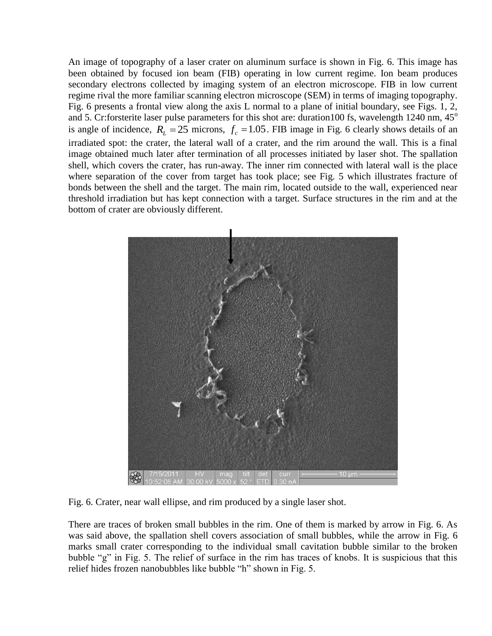An image of topography of a laser crater on aluminum surface is shown in Fig. 6. This image has been obtained by focused ion beam (FIB) operating in low current regime. Ion beam produces secondary electrons collected by imaging system of an electron microscope. FIB in low current regime rival the more familiar scanning electron microscope (SEM) in terms of imaging topography. Fig. 6 presents a frontal view along the axis L normal to a plane of initial boundary, see Figs. 1, 2, and 5. Cr:forsterite laser pulse parameters for this shot are: duration100 fs, wavelength 1240 nm, 45° is angle of incidence,  $R_L = 25$  microns,  $f_c = 1.05$ . FIB image in Fig. 6 clearly shows details of an irradiated spot: the crater, the lateral wall of a crater, and the rim around the wall. This is a final image obtained much later after termination of all processes initiated by laser shot. The spallation shell, which covers the crater, has run-away. The inner rim connected with lateral wall is the place where separation of the cover from target has took place; see Fig. 5 which illustrates fracture of bonds between the shell and the target. The main rim, located outside to the wall, experienced near threshold irradiation but has kept connection with a target. Surface structures in the rim and at the bottom of crater are obviously different.



Fig. 6. Crater, near wall ellipse, and rim produced by a single laser shot.

There are traces of broken small bubbles in the rim. One of them is marked by arrow in Fig. 6. As was said above, the spallation shell covers association of small bubbles, while the arrow in Fig. 6 marks small crater corresponding to the individual small cavitation bubble similar to the broken bubble "g" in Fig. 5. The relief of surface in the rim has traces of knobs. It is suspicious that this relief hides frozen nanobubbles like bubble "h" shown in Fig. 5.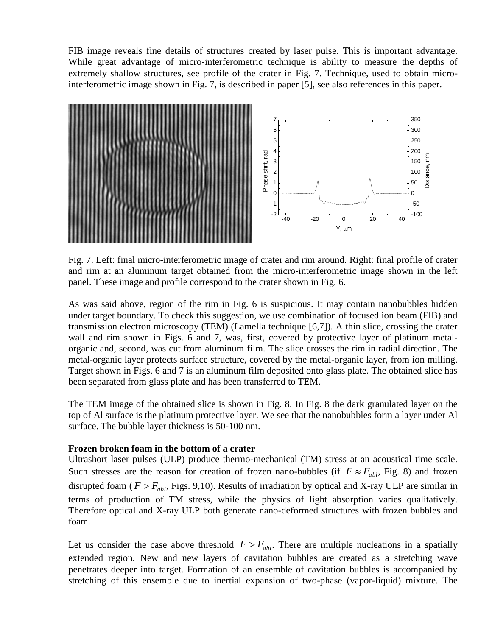FIB image reveals fine details of structures created by laser pulse. This is important advantage. While great advantage of micro-interferometric technique is ability to measure the depths of extremely shallow structures, see profile of the crater in Fig. 7. Technique, used to obtain microinterferometric image shown in Fig. 7, is described in paper [5], see also references in this paper.



Fig. 7. Left: final micro-interferometric image of crater and rim around. Right: final profile of crater and rim at an aluminum target obtained from the micro-interferometric image shown in the left panel. These image and profile correspond to the crater shown in Fig. 6.

As was said above, region of the rim in Fig. 6 is suspicious. It may contain nanobubbles hidden under target boundary. To check this suggestion, we use combination of focused ion beam (FIB) and transmission electron microscopy (TEM) (Lamella technique [6,7]). A thin slice, crossing the crater wall and rim shown in Figs. 6 and 7, was, first, covered by protective layer of platinum metalorganic and, second, was cut from aluminum film. The slice crosses the rim in radial direction. The metal-organic layer protects surface structure, covered by the metal-organic layer, from ion milling. Target shown in Figs. 6 and 7 is an aluminum film deposited onto glass plate. The obtained slice has been separated from glass plate and has been transferred to TEM.

The TEM image of the obtained slice is shown in Fig. 8. In Fig. 8 the dark granulated layer on the top of Al surface is the platinum protective layer. We see that the nanobubbles form a layer under Al surface. The bubble layer thickness is 50-100 nm.

## **Frozen broken foam in the bottom of a crater**

Ultrashort laser pulses (ULP) produce thermo-mechanical (TM) stress at an acoustical time scale. Such stresses are the reason for creation of frozen nano-bubbles (if  $F \approx F_{abl}$ , Fig. 8) and frozen disrupted foam ( $F > F_{abl}$ , Figs. 9,10). Results of irradiation by optical and X-ray ULP are similar in terms of production of TM stress, while the physics of light absorption varies qualitatively. Therefore optical and X-ray ULP both generate nano-deformed structures with frozen bubbles and foam.

Let us consider the case above threshold  $F > F_{abl}$ . There are multiple nucleations in a spatially extended region. New and new layers of cavitation bubbles are created as a stretching wave penetrates deeper into target. Formation of an ensemble of cavitation bubbles is accompanied by stretching of this ensemble due to inertial expansion of two-phase (vapor-liquid) mixture. The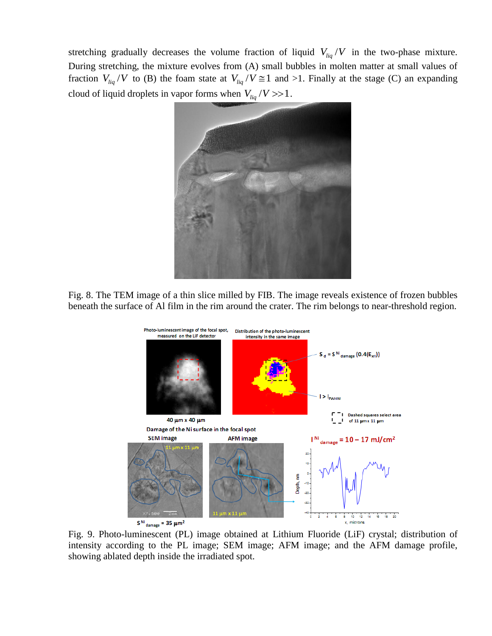stretching gradually decreases the volume fraction of liquid  $V_{liq}/V$  in the two-phase mixture. During stretching, the mixture evolves from (A) small bubbles in molten matter at small values of fraction  $V_{liq}/V$  to (B) the foam state at  $V_{liq}/V \approx 1$  and >1. Finally at the stage (C) an expanding cloud of liquid droplets in vapor forms when  $V_{liq}/V$  >>1.



Fig. 8. The TEM image of a thin slice milled by FIB. The image reveals existence of frozen bubbles beneath the surface of Al film in the rim around the crater. The rim belongs to near-threshold region.



Fig. 9. Photo-luminescent (PL) image obtained at Lithium Fluoride (LiF) crystal; distribution of intensity according to the PL image; SEM image; AFM image; and the AFM damage profile, showing ablated depth inside the irradiated spot.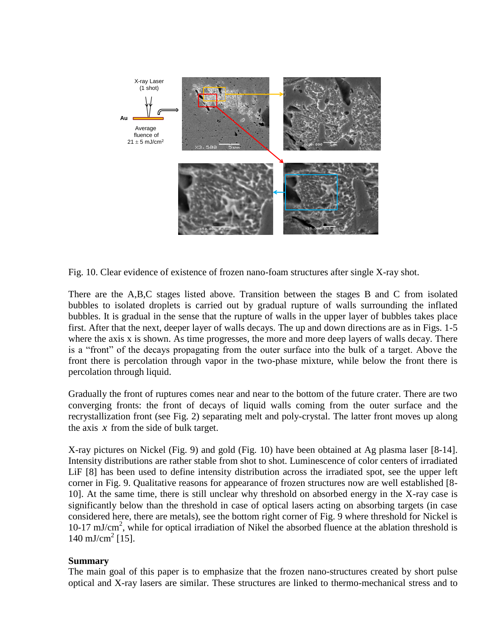

Fig. 10. Clear evidence of existence of frozen nano-foam structures after single X-ray shot.

There are the A,B,C stages listed above. Transition between the stages B and C from isolated bubbles to isolated droplets is carried out by gradual rupture of walls surrounding the inflated bubbles. It is gradual in the sense that the rupture of walls in the upper layer of bubbles takes place first. After that the next, deeper layer of walls decays. The up and down directions are as in Figs. 1-5 where the axis x is shown. As time progresses, the more and more deep layers of walls decay. There is a "front" of the decays propagating from the outer surface into the bulk of a target. Above the front there is percolation through vapor in the two-phase mixture, while below the front there is percolation through liquid.

Gradually the front of ruptures comes near and near to the bottom of the future crater. There are two converging fronts: the front of decays of liquid walls coming from the outer surface and the recrystallization front (see Fig. 2) separating melt and poly-crystal. The latter front moves up along the axis  $x$  from the side of bulk target.

X-ray pictures on Nickel (Fig. 9) and gold (Fig. 10) have been obtained at Ag plasma laser [8-14]. Intensity distributions are rather stable from shot to shot. Luminescence of color centers of irradiated LiF [8] has been used to define intensity distribution across the irradiated spot, see the upper left corner in Fig. 9. Qualitative reasons for appearance of frozen structures now are well established [8- 10]. At the same time, there is still unclear why threshold on absorbed energy in the X-ray case is significantly below than the threshold in case of optical lasers acting on absorbing targets (in case considered here, there are metals), see the bottom right corner of Fig. 9 where threshold for Nickel is 10-17 mJ/cm<sup>2</sup> , while for optical irradiation of Nikel the absorbed fluence at the ablation threshold is  $140 \text{ mJ/cm}^2$  [15].

## **Summary**

The main goal of this paper is to emphasize that the frozen nano-structures created by short pulse optical and X-ray lasers are similar. These structures are linked to thermo-mechanical stress and to